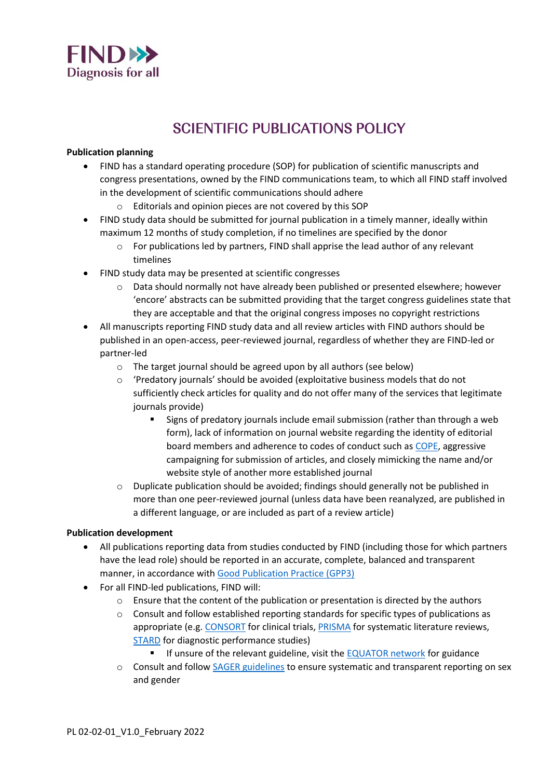

# SCIENTIFIC PUBLICATIONS POLICY

### **Publication planning**

- FIND has a standard operating procedure (SOP) for publication of scientific manuscripts and congress presentations, owned by the FIND communications team, to which all FIND staff involved in the development of scientific communications should adhere
	- o Editorials and opinion pieces are not covered by this SOP
- FIND study data should be submitted for journal publication in a timely manner, ideally within maximum 12 months of study completion, if no timelines are specified by the donor
	- $\circ$  For publications led by partners, FIND shall apprise the lead author of any relevant timelines
- FIND study data may be presented at scientific congresses
	- o Data should normally not have already been published or presented elsewhere; however 'encore' abstracts can be submitted providing that the target congress guidelines state that they are acceptable and that the original congress imposes no copyright restrictions
- All manuscripts reporting FIND study data and all review articles with FIND authors should be published in an open-access, peer-reviewed journal, regardless of whether they are FIND-led or partner-led
	- o The target journal should be agreed upon by all authors (see below)
	- $\circ$  'Predatory journals' should be avoided (exploitative business models that do not sufficiently check articles for quality and do not offer many of the services that legitimate journals provide)
		- **EXIGNS** Signs of predatory journals include email submission (rather than through a web form), lack of information on journal website regarding the identity of editorial board members and adherence to codes of conduct such as [COPE,](https://publicationethics.org/) aggressive campaigning for submission of articles, and closely mimicking the name and/or website style of another more established journal
	- $\circ$  Duplicate publication should be avoided; findings should generally not be published in more than one peer-reviewed journal (unless data have been reanalyzed, are published in a different language, or are included as part of a review article)

# **Publication development**

- All publications reporting data from studies conducted by FIND (including those for which partners have the lead role) should be reported in an accurate, complete, balanced and transparent manner, in accordance with [Good Publication Practice \(GPP3\)](https://www.acpjournals.org/doi/10.7326/M15-0288)
- For all FIND-led publications, FIND will:
	- o Ensure that the content of the publication or presentation is directed by the authors
	- $\circ$  Consult and follow established reporting standards for specific types of publications as appropriate (e.g[. CONSORT](http://www.consort-statement.org/) for clinical trials[, PRISMA](http://www.prisma-statement.org/) for systematic literature reviews, [STARD](https://www.equator-network.org/wp-content/uploads/2015/03/STARD-2015-paper.pdf) for diagnostic performance studies)
		- If unsure of the relevant guideline, visit the [EQUATOR network](https://www.equator-network.org/) for guidance
	- o Consult and follow [SAGER guidelines](https://researchintegrityjournal.biomedcentral.com/articles/10.1186/s41073-016-0007-6/tables/1) to ensure systematic and transparent reporting on sex and gender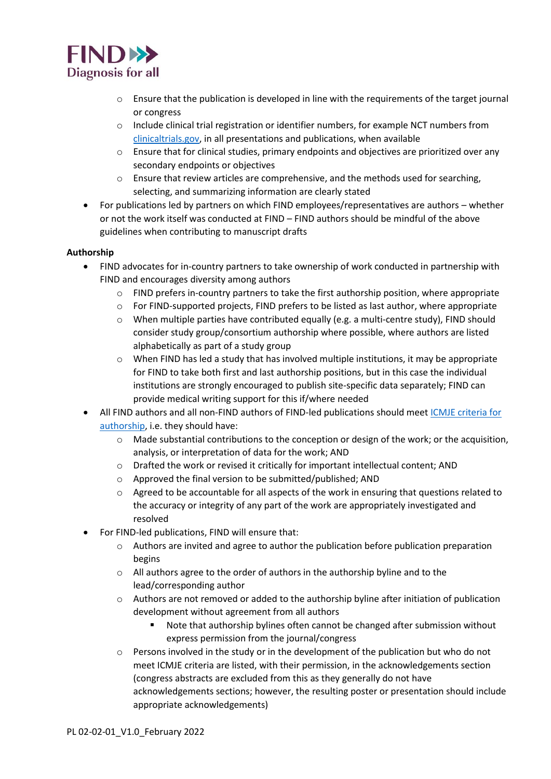

- $\circ$  Ensure that the publication is developed in line with the requirements of the target journal or congress
- o Include clinical trial registration or identifier numbers, for example NCT numbers from [clinicaltrials.gov,](https://clinicaltrials.gov/) in all presentations and publications, when available
- o Ensure that for clinical studies, primary endpoints and objectives are prioritized over any secondary endpoints or objectives
- $\circ$  Ensure that review articles are comprehensive, and the methods used for searching, selecting, and summarizing information are clearly stated
- For publications led by partners on which FIND employees/representatives are authors whether or not the work itself was conducted at FIND – FIND authors should be mindful of the above guidelines when contributing to manuscript drafts

# **Authorship**

- FIND advocates for in-country partners to take ownership of work conducted in partnership with FIND and encourages diversity among authors
	- $\circ$  FIND prefers in-country partners to take the first authorship position, where appropriate
	- o For FIND-supported projects, FIND prefers to be listed as last author, where appropriate
	- o When multiple parties have contributed equally (e.g. a multi-centre study), FIND should consider study group/consortium authorship where possible, where authors are listed alphabetically as part of a study group
	- o When FIND has led a study that has involved multiple institutions, it may be appropriate for FIND to take both first and last authorship positions, but in this case the individual institutions are strongly encouraged to publish site-specific data separately; FIND can provide medical writing support for this if/where needed
- All FIND authors and all non-FIND authors of FIND-led publications should meet [ICMJE criteria for](http://www.icmje.org/recommendations/browse/roles-and-responsibilities/defining-the-role-of-authors-and-contributors.html)  [authorship,](http://www.icmje.org/recommendations/browse/roles-and-responsibilities/defining-the-role-of-authors-and-contributors.html) i.e. they should have:
	- $\circ$  Made substantial contributions to the conception or design of the work; or the acquisition, analysis, or interpretation of data for the work; AND
	- o Drafted the work or revised it critically for important intellectual content; AND
	- o Approved the final version to be submitted/published; AND
	- $\circ$  Agreed to be accountable for all aspects of the work in ensuring that questions related to the accuracy or integrity of any part of the work are appropriately investigated and resolved
- For FIND-led publications, FIND will ensure that:
	- o Authors are invited and agree to author the publication before publication preparation begins
	- o All authors agree to the order of authors in the authorship byline and to the lead/corresponding author
	- o Authors are not removed or added to the authorship byline after initiation of publication development without agreement from all authors
		- Note that authorship bylines often cannot be changed after submission without express permission from the journal/congress
	- $\circ$  Persons involved in the study or in the development of the publication but who do not meet ICMJE criteria are listed, with their permission, in the acknowledgements section (congress abstracts are excluded from this as they generally do not have acknowledgements sections; however, the resulting poster or presentation should include appropriate acknowledgements)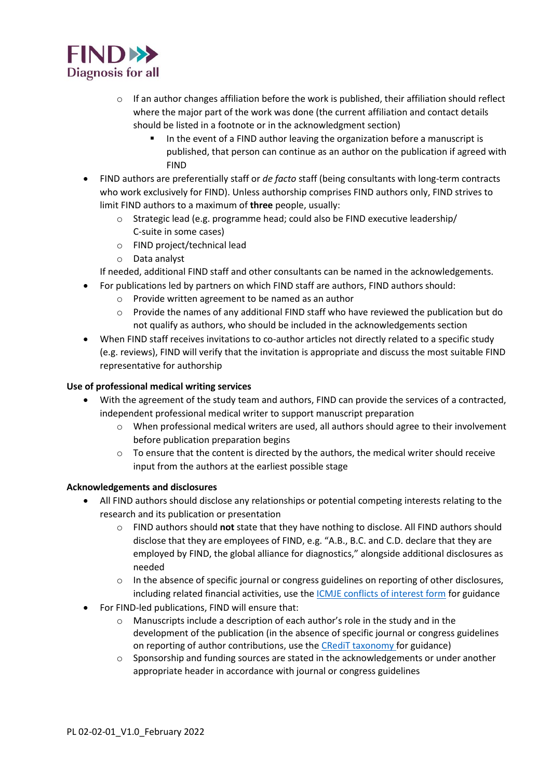

- $\circ$  If an author changes affiliation before the work is published, their affiliation should reflect where the major part of the work was done (the current affiliation and contact details should be listed in a footnote or in the acknowledgment section)
	- In the event of a FIND author leaving the organization before a manuscript is published, that person can continue as an author on the publication if agreed with FIND
- FIND authors are preferentially staff or *de facto* staff (being consultants with long-term contracts who work exclusively for FIND). Unless authorship comprises FIND authors only, FIND strives to limit FIND authors to a maximum of **three** people, usually:
	- o Strategic lead (e.g. programme head; could also be FIND executive leadership/ C-suite in some cases)
	- o FIND project/technical lead
	- o Data analyst

If needed, additional FIND staff and other consultants can be named in the acknowledgements.

- For publications led by partners on which FIND staff are authors, FIND authors should:
	- o Provide written agreement to be named as an author
	- o Provide the names of any additional FIND staff who have reviewed the publication but do not qualify as authors, who should be included in the acknowledgements section
- When FIND staff receives invitations to co-author articles not directly related to a specific study (e.g. reviews), FIND will verify that the invitation is appropriate and discuss the most suitable FIND representative for authorship

# **Use of professional medical writing services**

- With the agreement of the study team and authors, FIND can provide the services of a contracted, independent professional medical writer to support manuscript preparation
	- o When professional medical writers are used, all authors should agree to their involvement before publication preparation begins
	- $\circ$  To ensure that the content is directed by the authors, the medical writer should receive input from the authors at the earliest possible stage

# **Acknowledgements and disclosures**

- All FIND authors should disclose any relationships or potential competing interests relating to the research and its publication or presentation
	- o FIND authors should **not** state that they have nothing to disclose. All FIND authors should disclose that they are employees of FIND, e.g. "A.B., B.C. and C.D. declare that they are employed by FIND, the global alliance for diagnostics," alongside additional disclosures as needed
	- $\circ$  In the absence of specific journal or congress guidelines on reporting of other disclosures, including related financial activities, use the [ICMJE conflicts of interest form](http://www.icmje.org/conflicts-of-interest/) for guidance
- For FIND-led publications, FIND will ensure that:
	- o Manuscripts include a description of each author's role in the study and in the development of the publication (in the absence of specific journal or congress guidelines on reporting of author contributions, use the [CRediT taxonomy](https://casrai.org/credit/) for guidance)
	- $\circ$  Sponsorship and funding sources are stated in the acknowledgements or under another appropriate header in accordance with journal or congress guidelines